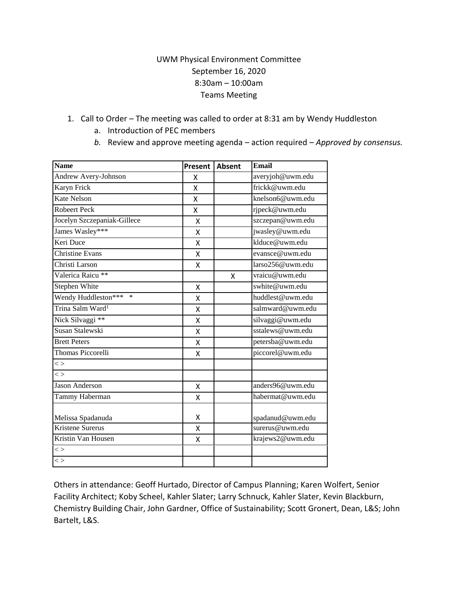## UWM Physical Environment Committee September 16, 2020 8:30am – 10:00am Teams Meeting

- 1. Call to Order The meeting was called to order at 8:31 am by Wendy Huddleston
	- a. Introduction of PEC members
	- *b.* Review and approve meeting agenda action required *Approved by consensus.*

| <b>Name</b>                                  | Present | <b>Absent</b> | <b>Email</b>     |
|----------------------------------------------|---------|---------------|------------------|
| Andrew Avery-Johnson                         | X       |               | averyjoh@uwm.edu |
| Karyn Frick                                  | X       |               | frickk@uwm.edu   |
| <b>Kate Nelson</b>                           | X       |               | knelson6@uwm.edu |
| <b>Robeert Peck</b>                          | X       |               | rjpeck@uwm.edu   |
| Jocelyn Szczepaniak-Gillece                  | X       |               | szczepan@uwm.edu |
| James Wasley***                              | Χ       |               | jwasley@uwm.edu  |
| Keri Duce                                    | Χ       |               | klduce@uwm.edu   |
| Christine Evans                              | X       |               | evansce@uwm.edu  |
| Christi Larson                               | X       |               | larso256@uwm.edu |
| Valerica Raicu **                            |         | X             | vraicu@uwm.edu   |
| Stephen White                                | X       |               | swhite@uwm.edu   |
| Wendy Huddleston*** *                        | Χ       |               | huddlest@uwm.edu |
| Trina Salm Ward <sup>1</sup>                 | X       |               | salmward@uwm.edu |
| Nick Silvaggi **                             | X       |               | silvaggi@uwm.edu |
| Susan Stalewski                              | X       |               | sstalews@uwm.edu |
| <b>Brett Peters</b>                          | Χ       |               | petersba@uwm.edu |
| <b>Thomas Piccorelli</b>                     | X       |               | piccorel@uwm.edu |
| $\lt$                                        |         |               |                  |
| $\lt$                                        |         |               |                  |
| Jason Anderson                               | X       |               | anders96@uwm.edu |
| Tammy Haberman                               | X       |               | habermat@uwm.edu |
|                                              | Χ       |               | spadanud@uwm.edu |
| Melissa Spadanuda<br><b>Kristene Surerus</b> | X       |               | surerus@uwm.edu  |
|                                              |         |               |                  |
| Kristin Van Housen                           | Χ       |               | krajews2@uwm.edu |
| $\lt$                                        |         |               |                  |
| $\lt$                                        |         |               |                  |

Others in attendance: Geoff Hurtado, Director of Campus Planning; Karen Wolfert, Senior Facility Architect; Koby Scheel, Kahler Slater; Larry Schnuck, Kahler Slater, Kevin Blackburn, Chemistry Building Chair, John Gardner, Office of Sustainability; Scott Gronert, Dean, L&S; John Bartelt, L&S.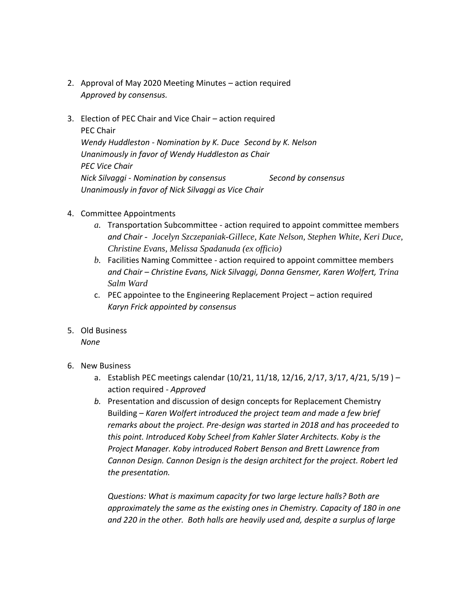- 2. Approval of May 2020 Meeting Minutes action required *Approved by consensus.*
- 3. Election of PEC Chair and Vice Chair action required PEC Chair *Wendy Huddleston - Nomination by K. Duce Second by K. Nelson Unanimously in favor of Wendy Huddleston as Chair PEC Vice Chair Nick Silvaggi - Nomination by consensus Second by consensus Unanimously in favor of Nick Silvaggi as Vice Chair*
- 4. Committee Appointments
	- *a.* Transportation Subcommittee action required to appoint committee members *and Chair - Jocelyn Szczepaniak-Gillece, Kate Nelson, Stephen White, Keri Duce, Christine Evans, Melissa Spadanuda (ex officio)*
	- *b.* Facilities Naming Committee action required to appoint committee members *and Chair – Christine Evans, Nick Silvaggi, Donna Gensmer, Karen Wolfert, Trina Salm Ward*
	- c. PEC appointee to the Engineering Replacement Project action required *Karyn Frick appointed by consensus*
- 5. Old Business *None*
- 6. New Business
	- a. Establish PEC meetings calendar (10/21, 11/18, 12/16, 2/17, 3/17, 4/21, 5/19 ) action required - *Approved*
	- *b.* Presentation and discussion of design concepts for Replacement Chemistry Building – *Karen Wolfert introduced the project team and made a few brief remarks about the project. Pre-design was started in 2018 and has proceeded to this point. Introduced Koby Scheel from Kahler Slater Architects. Koby is the Project Manager. Koby introduced Robert Benson and Brett Lawrence from Cannon Design. Cannon Design is the design architect for the project. Robert led the presentation.*

*Questions: What is maximum capacity for two large lecture halls? Both are approximately the same as the existing ones in Chemistry. Capacity of 180 in one and 220 in the other. Both halls are heavily used and, despite a surplus of large*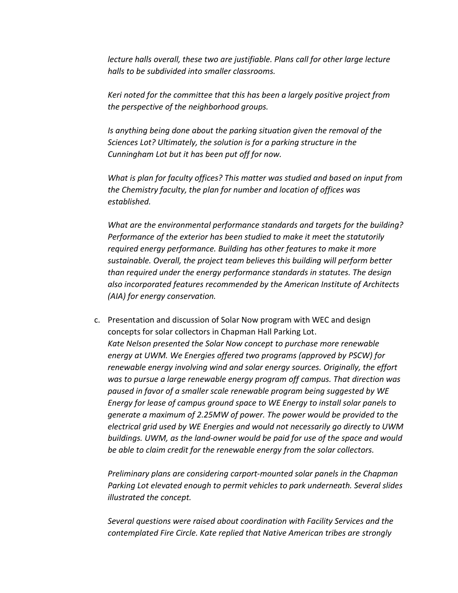*lecture halls overall, these two are justifiable. Plans call for other large lecture halls to be subdivided into smaller classrooms.*

*Keri noted for the committee that this has been a largely positive project from the perspective of the neighborhood groups.*

*Is anything being done about the parking situation given the removal of the Sciences Lot? Ultimately, the solution is for a parking structure in the Cunningham Lot but it has been put off for now.*

*What is plan for faculty offices? This matter was studied and based on input from the Chemistry faculty, the plan for number and location of offices was established.*

*What are the environmental performance standards and targets for the building? Performance of the exterior has been studied to make it meet the statutorily required energy performance. Building has other features to make it more sustainable. Overall, the project team believes this building will perform better than required under the energy performance standards in statutes. The design also incorporated features recommended by the American Institute of Architects (AIA) for energy conservation.* 

c. Presentation and discussion of Solar Now program with WEC and design concepts for solar collectors in Chapman Hall Parking Lot. *Kate Nelson presented the Solar Now concept to purchase more renewable energy at UWM. We Energies offered two programs (approved by PSCW) for renewable energy involving wind and solar energy sources. Originally, the effort was to pursue a large renewable energy program off campus. That direction was paused in favor of a smaller scale renewable program being suggested by WE Energy for lease of campus ground space to WE Energy to install solar panels to generate a maximum of 2.25MW of power. The power would be provided to the electrical grid used by WE Energies and would not necessarily go directly to UWM buildings. UWM, as the land-owner would be paid for use of the space and would be able to claim credit for the renewable energy from the solar collectors.* 

*Preliminary plans are considering carport-mounted solar panels in the Chapman Parking Lot elevated enough to permit vehicles to park underneath. Several slides illustrated the concept.*

*Several questions were raised about coordination with Facility Services and the contemplated Fire Circle. Kate replied that Native American tribes are strongly*